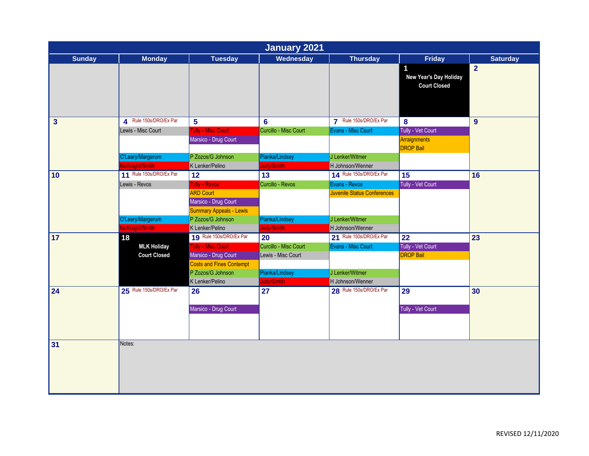| January 2021            |                         |                                                                            |                       |                                    |                                                       |                 |  |  |
|-------------------------|-------------------------|----------------------------------------------------------------------------|-----------------------|------------------------------------|-------------------------------------------------------|-----------------|--|--|
| <b>Sunday</b>           | <b>Monday</b>           | <b>Tuesday</b>                                                             | Wednesday             | <b>Thursday</b>                    | <b>Friday</b>                                         | <b>Saturday</b> |  |  |
|                         |                         |                                                                            |                       |                                    | 1<br>New Year's Day Holiday<br><b>Court Closed</b>    | $\overline{2}$  |  |  |
| $\overline{\mathbf{3}}$ | 4 Rule 150s/DRO/Ex Par  | 5                                                                          | $6\phantom{1}6$       | 7 Rule 150s/DRO/Ex Par             | 8                                                     | 9               |  |  |
|                         | Lewis - Misc Court      | <b>Tully - Misc Court</b><br>Marsico - Drug Court                          | Curcillo - Misc Court | Evans - Misc Court                 | Tully - Vet Court<br>Arraignments<br><b>DROP Bail</b> |                 |  |  |
|                         | O'Leary/Margerum        | P Zozos/G Johnson                                                          | Pianka/Lindsey        | J Lenker/Witmer                    |                                                       |                 |  |  |
|                         | McKnight/Smith          | K Lenker/Pelino                                                            | Judy/Smith            | H Johnson/Wenner                   |                                                       |                 |  |  |
| 10                      | 11 Rule 150s/DRO/Ex Par | 12                                                                         | 13                    | 14 Rule 150s/DRO/Ex Par            | 15                                                    | 16              |  |  |
|                         | Lewis - Revos           | Tully - Revos                                                              | Curcillo - Revos      | Evans - Revos                      | Tully - Vet Court                                     |                 |  |  |
|                         |                         | <b>ARD Court</b><br>Marsico - Drug Court<br><b>Summary Appeals - Lewis</b> |                       | <b>Juvenile Status Conferences</b> |                                                       |                 |  |  |
|                         | O'Leary/Margerum        | P Zozos/G Johnson                                                          | Pianka/Lindsey        | J Lenker/Witmer                    |                                                       |                 |  |  |
|                         | McKnight/Smith          | K Lenker/Pelino                                                            | Judy/Smith            | H Johnson/Wenner                   |                                                       |                 |  |  |
| 17                      | 18                      | 19 Rule 150s/DRO/Ex Par                                                    | 20                    | 21 Rule 150s/DRO/Ex Par            | 22                                                    | 23              |  |  |
|                         | <b>MLK Holiday</b>      | <b>Tully - Misc Court</b>                                                  | Curcillo - Misc Court | Evans - Misc Court                 | Tully - Vet Court                                     |                 |  |  |
|                         | <b>Court Closed</b>     | Marsico - Drug Court                                                       | Lewis - Misc Court    |                                    | <b>DROP Bail</b>                                      |                 |  |  |
|                         |                         | <b>Costs and Fines Contempt</b>                                            |                       |                                    |                                                       |                 |  |  |
|                         |                         | P Zozos/G Johnson                                                          | Pianka/Lindsey        | J Lenker/Witmer                    |                                                       |                 |  |  |
|                         |                         | K Lenker/Pelino                                                            | Judy/Smith            | H Johnson/Wenner                   |                                                       |                 |  |  |
| 24                      | 25 Rule 150s/DRO/Ex Par | 26                                                                         | 27                    | 28 Rule 150s/DRO/Ex Par            | $\overline{29}$                                       | 30              |  |  |
|                         |                         | Marsico - Drug Court                                                       |                       |                                    | Tully - Vet Court                                     |                 |  |  |
|                         |                         |                                                                            |                       |                                    |                                                       |                 |  |  |
| 31                      | Notes:                  |                                                                            |                       |                                    |                                                       |                 |  |  |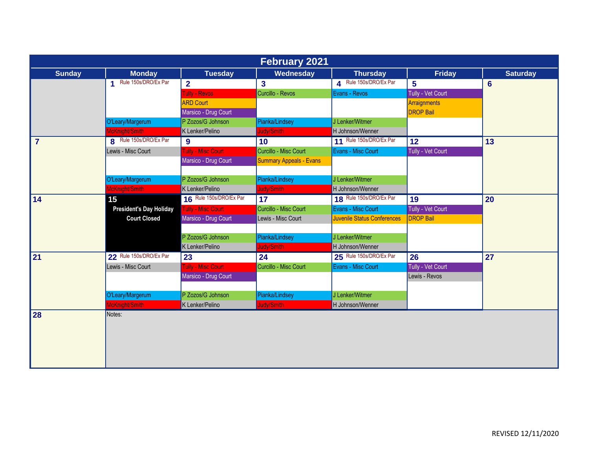| <b>February 2021</b> |                                |                           |                                |                                    |                   |                 |  |  |
|----------------------|--------------------------------|---------------------------|--------------------------------|------------------------------------|-------------------|-----------------|--|--|
| <b>Sunday</b>        | <b>Monday</b>                  | <b>Tuesday</b>            | Wednesday                      | <b>Thursday</b>                    | <b>Friday</b>     | <b>Saturday</b> |  |  |
|                      | 1 Rule 150s/DRO/Ex Par         | $\overline{2}$            | $\overline{\mathbf{3}}$        | 4 Rule 150s/DRO/Ex Par             | 5                 | $6\phantom{1}6$ |  |  |
|                      |                                | <b>Fully - Revos</b>      | Curcillo - Revos               | Evans - Revos                      | Tully - Vet Court |                 |  |  |
|                      |                                | <b>ARD Court</b>          |                                |                                    | Arraignments      |                 |  |  |
|                      |                                | Marsico - Drug Court      |                                |                                    | <b>DROP Bail</b>  |                 |  |  |
|                      | O'Leary/Margerum               | P Zozos/G Johnson         | Pianka/Lindsey                 | J Lenker/Witmer                    |                   |                 |  |  |
|                      | McKnight/Smith                 | K Lenker/Pelino           | Judy/Smith                     | H Johnson/Wenner                   |                   |                 |  |  |
| $\overline{7}$       | R Rule 150s/DRO/Ex Par         | $\mathbf{9}$              | 10 <sub>1</sub>                | 11 Rule 150s/DRO/Ex Par            | 12                | 13              |  |  |
|                      | Lewis - Misc Court             | <b>Fully - Misc Court</b> | Curcillo - Misc Court          | Evans - Misc Court                 | Tully - Vet Court |                 |  |  |
|                      |                                | Marsico - Drug Court      | <b>Summary Appeals - Evans</b> |                                    |                   |                 |  |  |
|                      |                                |                           |                                |                                    |                   |                 |  |  |
|                      | O'Leary/Margerum               | P Zozos/G Johnson         | Pianka/Lindsey                 | J Lenker/Witmer                    |                   |                 |  |  |
|                      | McKnight/Smith                 | K Lenker/Pelino           | Judy/Smith                     | H Johnson/Wenner                   |                   |                 |  |  |
| 14                   | 15                             | 16 Rule 150s/DRO/Ex Par   | 17                             | 18 Rule 150s/DRO/Ex Par            | 19                | 20              |  |  |
|                      | <b>President's Day Holiday</b> | <b>Tully - Misc Court</b> | Curcillo - Misc Court          | Evans - Misc Court                 | Tully - Vet Court |                 |  |  |
|                      | <b>Court Closed</b>            | Marsico - Drug Court      | Lewis - Misc Court             | <b>Juvenile Status Conferences</b> | <b>DROP Bail</b>  |                 |  |  |
|                      |                                |                           |                                |                                    |                   |                 |  |  |
|                      |                                | P Zozos/G Johnson         | Pianka/Lindsey                 | J Lenker/Witmer                    |                   |                 |  |  |
|                      |                                | K Lenker/Pelino           | Judy/Smith                     | H Johnson/Wenner                   |                   |                 |  |  |
| 21                   | 22 Rule 150s/DRO/Ex Par        | 23                        | 24                             | 25 Rule 150s/DRO/Ex Par            | 26                | 27              |  |  |
|                      | Lewis - Misc Court             | <b>Fully - Misc Court</b> | Curcillo - Misc Court          | Evans - Misc Court                 | Tully - Vet Court |                 |  |  |
|                      |                                | Marsico - Drug Court      |                                |                                    | Lewis - Revos     |                 |  |  |
|                      |                                |                           |                                |                                    |                   |                 |  |  |
|                      | O'Leary/Margerum               | P Zozos/G Johnson         | Pianka/Lindsey                 | J Lenker/Witmer                    |                   |                 |  |  |
|                      | McKnight/Smith                 | K Lenker/Pelino           | Judy/Smith                     | H Johnson/Wenner                   |                   |                 |  |  |
| 28                   | Notes:                         |                           |                                |                                    |                   |                 |  |  |
|                      |                                |                           |                                |                                    |                   |                 |  |  |
|                      |                                |                           |                                |                                    |                   |                 |  |  |
|                      |                                |                           |                                |                                    |                   |                 |  |  |
|                      |                                |                           |                                |                                    |                   |                 |  |  |
|                      |                                |                           |                                |                                    |                   |                 |  |  |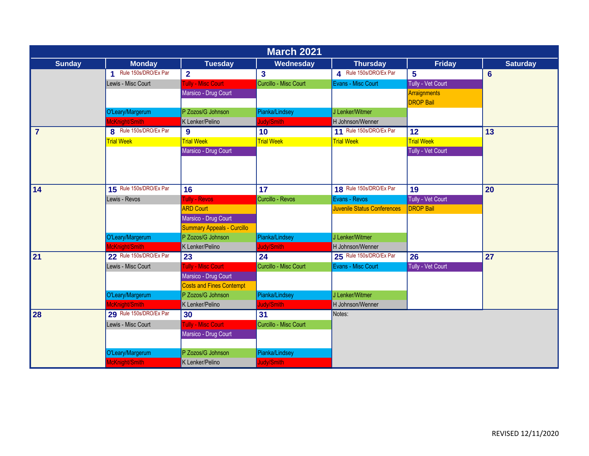| <b>March 2021</b> |                           |                                   |                       |                             |                                         |                 |  |  |
|-------------------|---------------------------|-----------------------------------|-----------------------|-----------------------------|-----------------------------------------|-----------------|--|--|
| <b>Sunday</b>     | <b>Monday</b>             | <b>Tuesday</b>                    | Wednesday             | <b>Thursday</b>             | <b>Friday</b>                           | <b>Saturday</b> |  |  |
|                   | Rule 150s/DRO/Ex Par<br>4 | $\mathbf{2}$                      | $\mathbf{3}$          | 4 Rule 150s/DRO/Ex Par      | $5\phantom{1}$                          | 6               |  |  |
|                   | Lewis - Misc Court        | Tully - Misc Court                | Curcillo - Misc Court | Evans - Misc Court          | Tully - Vet Court                       |                 |  |  |
|                   |                           | Marsico - Drug Court              |                       |                             | <b>Arraignments</b><br><b>DROP Bail</b> |                 |  |  |
|                   | O'Leary/Margerum          | P Zozos/G Johnson                 | Pianka/Lindsey        | J Lenker/Witmer             |                                         |                 |  |  |
|                   | McKnight/Smith            | K Lenker/Pelino                   | Judy/Smith            | H Johnson/Wenner            |                                         |                 |  |  |
| $\overline{7}$    | 8 Rule 150s/DRO/Ex Par    | 9                                 | 10                    | 11 Rule 150s/DRO/Ex Par     | 12                                      | 13              |  |  |
|                   | <b>Trial Week</b>         | <b>Trial Week</b>                 | <b>Trial Week</b>     | <b>Trial Week</b>           | <b>Trial Week</b>                       |                 |  |  |
|                   |                           | Marsico - Drug Court              |                       |                             | Tully - Vet Court                       |                 |  |  |
|                   |                           |                                   |                       |                             |                                         |                 |  |  |
| 14                | 15 Rule 150s/DRO/Ex Par   | 16                                | 17                    | 18 Rule 150s/DRO/Ex Par     | 19                                      | 20              |  |  |
|                   | Lewis - Revos             | Tully - Revos                     | Curcillo - Revos      | Evans - Revos               | Tully - Vet Court                       |                 |  |  |
|                   |                           | <b>ARD Court</b>                  |                       | Juvenile Status Conferences | <b>DROP Bail</b>                        |                 |  |  |
|                   |                           | Marsico - Drug Court              |                       |                             |                                         |                 |  |  |
|                   |                           | <b>Summary Appeals - Curcillo</b> |                       |                             |                                         |                 |  |  |
|                   | O'Leary/Margerum          | P Zozos/G Johnson                 | Pianka/Lindsey        | J Lenker/Witmer             |                                         |                 |  |  |
|                   | McKnight/Smith            | K Lenker/Pelino                   | Judy/Smith            | H Johnson/Wenner            |                                         |                 |  |  |
| 21                | 22 Rule 150s/DRO/Ex Par   | 23                                | 24                    | 25 Rule 150s/DRO/Ex Par     | 26                                      | 27              |  |  |
|                   | Lewis - Misc Court        | Tully - Misc Court                | Curcillo - Misc Court | Evans - Misc Court          | Tully - Vet Court                       |                 |  |  |
|                   |                           | Marsico - Drug Court              |                       |                             |                                         |                 |  |  |
|                   |                           | <b>Costs and Fines Contempt</b>   |                       |                             |                                         |                 |  |  |
|                   | O'Leary/Margerum          | P Zozos/G Johnson                 | Pianka/Lindsey        | J Lenker/Witmer             |                                         |                 |  |  |
|                   | McKnight/Smith            | K Lenker/Pelino                   | Judy/Smith            | H Johnson/Wenner            |                                         |                 |  |  |
| 28                | 29 Rule 150s/DRO/Ex Par   | 30                                | 31                    | Notes:                      |                                         |                 |  |  |
|                   | Lewis - Misc Court        | Tully - Misc Court                | Curcillo - Misc Court |                             |                                         |                 |  |  |
|                   |                           | Marsico - Drug Court              |                       |                             |                                         |                 |  |  |
|                   |                           |                                   |                       |                             |                                         |                 |  |  |
|                   | O'Leary/Margerum          | P Zozos/G Johnson                 | Pianka/Lindsey        |                             |                                         |                 |  |  |
|                   | McKnight/Smith            | K Lenker/Pelino                   | Judy/Smith            |                             |                                         |                 |  |  |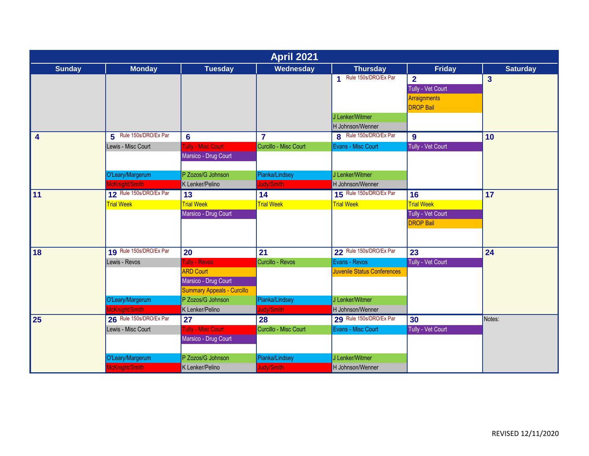| <b>April 2021</b>       |                         |                                   |                       |                                    |                   |                 |  |  |
|-------------------------|-------------------------|-----------------------------------|-----------------------|------------------------------------|-------------------|-----------------|--|--|
| <b>Sunday</b>           | <b>Monday</b>           | <b>Tuesday</b>                    | Wednesday             | <b>Thursday</b>                    | <b>Friday</b>     | <b>Saturday</b> |  |  |
|                         |                         |                                   |                       | 1 Rule 150s/DRO/Ex Par             | $\overline{2}$    | $\mathbf{3}$    |  |  |
|                         |                         |                                   |                       |                                    | Tully - Vet Court |                 |  |  |
|                         |                         |                                   |                       |                                    | Arraignments      |                 |  |  |
|                         |                         |                                   |                       |                                    | <b>DROP Bail</b>  |                 |  |  |
|                         |                         |                                   |                       | J Lenker/Witmer                    |                   |                 |  |  |
|                         |                         |                                   |                       | H Johnson/Wenner                   |                   |                 |  |  |
| $\overline{\mathbf{4}}$ | 5 Rule 150s/DRO/Ex Par  | $6\phantom{1}$                    | $\overline{7}$        | 8 Rule 150s/DRO/Ex Par             | $\boldsymbol{9}$  | 10              |  |  |
|                         | Lewis - Misc Court      | <b>Fully - Misc Court</b>         | Curcillo - Misc Court | Evans - Misc Court                 | Tully - Vet Court |                 |  |  |
|                         |                         | Marsico - Drug Court              |                       |                                    |                   |                 |  |  |
|                         |                         |                                   |                       |                                    |                   |                 |  |  |
|                         | O'Leary/Margerum        | P Zozos/G Johnson                 | Pianka/Lindsey        | J Lenker/Witmer                    |                   |                 |  |  |
|                         | McKnight/Smith          | K Lenker/Pelino                   | Judy/Smith            | H Johnson/Wenner                   |                   |                 |  |  |
| 11                      | 12 Rule 150s/DRO/Ex Par | $\overline{13}$                   | 14                    | 15 Rule 150s/DRO/Ex Par            | $\overline{16}$   | 17              |  |  |
|                         | <b>Trial Week</b>       | <b>Trial Week</b>                 | <b>Trial Week</b>     | <b>Trial Week</b>                  | <b>Trial Week</b> |                 |  |  |
|                         |                         | Marsico - Drug Court              |                       |                                    | Tully - Vet Court |                 |  |  |
|                         |                         |                                   |                       |                                    | <b>DROP Bail</b>  |                 |  |  |
|                         |                         |                                   |                       |                                    |                   |                 |  |  |
|                         |                         |                                   |                       |                                    |                   |                 |  |  |
| 18                      | 19 Rule 150s/DRO/Ex Par | 20                                | 21                    | 22 Rule 150s/DRO/Ex Par            | 23                | 24              |  |  |
|                         | Lewis - Revos           | Tully - Revos                     | Curcillo - Revos      | Evans - Revos                      | Tully - Vet Court |                 |  |  |
|                         |                         | <b>ARD Court</b>                  |                       | <b>Juvenile Status Conferences</b> |                   |                 |  |  |
|                         |                         | Marsico - Drug Court              |                       |                                    |                   |                 |  |  |
|                         |                         | <b>Summary Appeals - Curcillo</b> |                       |                                    |                   |                 |  |  |
|                         | O'Leary/Margerum        | P Zozos/G Johnson                 | Pianka/Lindsey        | J Lenker/Witmer                    |                   |                 |  |  |
|                         | McKnight/Smith          | K Lenker/Pelino                   | Judy/Smith            | H Johnson/Wenner                   |                   |                 |  |  |
| $\overline{25}$         | 26 Rule 150s/DRO/Ex Par | 27                                | $\overline{28}$       | 29 Rule 150s/DRO/Ex Par            | 30                | Notes:          |  |  |
|                         | Lewis - Misc Court      | <b>Fully - Misc Court</b>         | Curcillo - Misc Court | Evans - Misc Court                 | Tully - Vet Court |                 |  |  |
|                         |                         | Marsico - Drug Court              |                       |                                    |                   |                 |  |  |
|                         |                         |                                   |                       |                                    |                   |                 |  |  |
|                         | O'Leary/Margerum        | P Zozos/G Johnson                 | Pianka/Lindsey        | J Lenker/Witmer                    |                   |                 |  |  |
|                         | McKnight/Smith          | K Lenker/Pelino                   | Judy/Smith            | H Johnson/Wenner                   |                   |                 |  |  |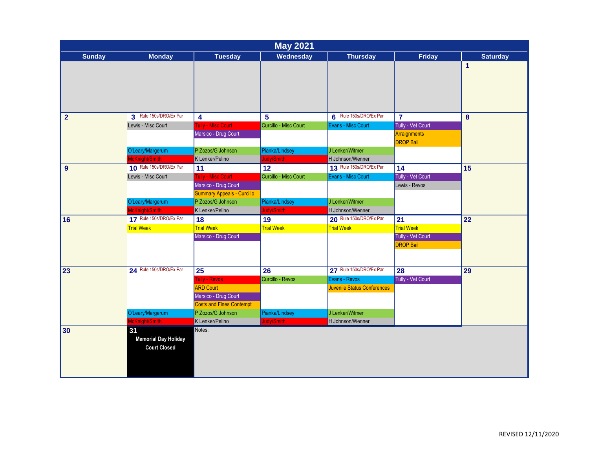| <b>May 2021</b> |                                                          |                                                           |                       |                                    |                                  |                 |  |  |
|-----------------|----------------------------------------------------------|-----------------------------------------------------------|-----------------------|------------------------------------|----------------------------------|-----------------|--|--|
| <b>Sunday</b>   | <b>Monday</b>                                            | <b>Tuesday</b>                                            | Wednesday             | <b>Thursday</b>                    | <b>Friday</b>                    | <b>Saturday</b> |  |  |
|                 |                                                          |                                                           |                       |                                    |                                  | $\mathbf{1}$    |  |  |
| $\overline{2}$  | 3 Rule 150s/DRO/Ex Par                                   | 4                                                         | $5\phantom{.0}$       | 6 Rule 150s/DRO/Ex Par             | $\overline{7}$                   | 8               |  |  |
|                 | Lewis - Misc Court                                       | <b>Tully - Misc Court</b>                                 | Curcillo - Misc Court | Evans - Misc Court                 | Tully - Vet Court                |                 |  |  |
|                 |                                                          | Marsico - Drug Court                                      |                       |                                    | Arraignments<br><b>DROP Bail</b> |                 |  |  |
|                 | O'Leary/Margerum                                         | P Zozos/G Johnson                                         | Pianka/Lindsey        | J Lenker/Witmer                    |                                  |                 |  |  |
|                 | McKnight/Smith                                           | K Lenker/Pelino                                           | Judy/Smith            | H Johnson/Wenner                   |                                  |                 |  |  |
| 9               | 10 Rule 150s/DRO/Ex Par                                  | 11                                                        | 12                    | 13 Rule 150s/DRO/Ex Par            | 14                               | 15              |  |  |
|                 | Lewis - Misc Court                                       | <b>Tully - Misc Court</b>                                 | Curcillo - Misc Court | Evans - Misc Court                 | Tully - Vet Court                |                 |  |  |
|                 |                                                          | Marsico - Drug Court<br><b>Summary Appeals - Curcillo</b> |                       |                                    | Lewis - Revos                    |                 |  |  |
|                 | O'Leary/Margerum                                         | P Zozos/G Johnson                                         | Pianka/Lindsey        | J Lenker/Witmer                    |                                  |                 |  |  |
|                 | McKnight/Smith                                           | K Lenker/Pelino                                           | Judy/Smith            | H Johnson/Wenner                   |                                  |                 |  |  |
| 16              | 17 Rule 150s/DRO/Ex Par                                  | 18                                                        | 19                    | 20 Rule 150s/DRO/Ex Par            | 21                               | 22              |  |  |
|                 | <b>Trial Week</b>                                        | <b>Trial Week</b>                                         | <b>Trial Week</b>     | <b>Trial Week</b>                  | <b>Trial Week</b>                |                 |  |  |
|                 |                                                          | Marsico - Drug Court                                      |                       |                                    | Tully - Vet Court                |                 |  |  |
|                 |                                                          |                                                           |                       |                                    | <b>DROP Bail</b>                 |                 |  |  |
| 23              | 24 Rule 150s/DRO/Ex Par                                  | 25                                                        | 26                    | 27 Rule 150s/DRO/Ex Par            | 28                               | 29              |  |  |
|                 |                                                          | <b>Tully - Revos</b>                                      | Curcillo - Revos      | Evans - Revos                      | Tully - Vet Court                |                 |  |  |
|                 |                                                          | <b>ARD Court</b>                                          |                       | <b>Juvenile Status Conferences</b> |                                  |                 |  |  |
|                 |                                                          | Marsico - Drug Court                                      |                       |                                    |                                  |                 |  |  |
|                 |                                                          | <b>Costs and Fines Contempt</b>                           |                       |                                    |                                  |                 |  |  |
|                 | O'Leary/Margerum                                         | P Zozos/G Johnson                                         | Pianka/Lindsey        | J Lenker/Witmer                    |                                  |                 |  |  |
|                 | McKnight/Smith                                           | K Lenker/Pelino                                           | Judy/Smith            | H Johnson/Wenner                   |                                  |                 |  |  |
| 30              | 31<br><b>Memorial Day Holiday</b><br><b>Court Closed</b> | Notes:                                                    |                       |                                    |                                  |                 |  |  |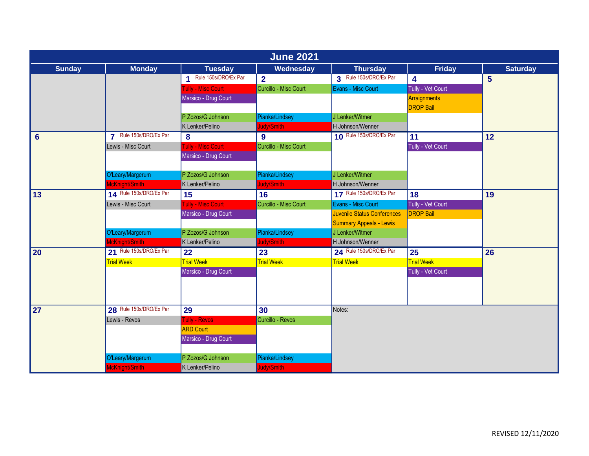|                | <b>June 2021</b>                   |                           |                         |                                     |                         |                 |  |  |  |
|----------------|------------------------------------|---------------------------|-------------------------|-------------------------------------|-------------------------|-----------------|--|--|--|
| <b>Sunday</b>  | <b>Monday</b>                      | <b>Tuesday</b>            | Wednesday               | <b>Thursday</b>                     | <b>Friday</b>           | <b>Saturday</b> |  |  |  |
|                |                                    | Rule 150s/DRO/Ex Par<br>4 | $\overline{2}$          | 3 Rule 150s/DRO/Ex Par              | 4                       | $5\phantom{1}$  |  |  |  |
|                |                                    | <b>Fully - Misc Court</b> | Curcillo - Misc Court   | Evans - Misc Court                  | Tully - Vet Court       |                 |  |  |  |
|                |                                    | Marsico - Drug Court      |                         |                                     | Arraignments            |                 |  |  |  |
|                |                                    |                           |                         |                                     | <b>DROP Bail</b>        |                 |  |  |  |
|                |                                    | P Zozos/G Johnson         | Pianka/Lindsey          | J Lenker/Witmer                     |                         |                 |  |  |  |
|                |                                    | K Lenker/Pelino           | Judy/Smith              | H Johnson/Wenner                    |                         |                 |  |  |  |
| $6\phantom{1}$ | 7 Rule 150s/DRO/Ex Par             | 8                         | 9                       | 10 Rule 150s/DRO/Ex Par             | 11                      | 12              |  |  |  |
|                | Lewis - Misc Court                 | <b>Fully - Misc Court</b> | Curcillo - Misc Court   |                                     | Tully - Vet Court       |                 |  |  |  |
|                |                                    | Marsico - Drug Court      |                         |                                     |                         |                 |  |  |  |
|                |                                    |                           |                         |                                     |                         |                 |  |  |  |
|                | O'Leary/Margerum                   | P Zozos/G Johnson         | Pianka/Lindsey          | J Lenker/Witmer                     |                         |                 |  |  |  |
|                | McKnight/Smith                     | K Lenker/Pelino           | Judy/Smith              | H Johnson/Wenner                    |                         |                 |  |  |  |
| 13             | 14 Rule 150s/DRO/Ex Par            | 15                        | $\overline{16}$         | 17 Rule 150s/DRO/Ex Par             | $\overline{18}$         | 19              |  |  |  |
|                | Lewis - Misc Court                 | <b>Fully - Misc Court</b> | Curcillo - Misc Court   | Evans - Misc Court                  | Tully - Vet Court       |                 |  |  |  |
|                |                                    | Marsico - Drug Court      |                         | <b>Juvenile Status Conferences</b>  | <b>DROP Bail</b>        |                 |  |  |  |
|                |                                    | P Zozos/G Johnson         |                         | <b>Summary Appeals - Lewis</b>      |                         |                 |  |  |  |
|                | O'Leary/Margerum<br>McKnight/Smith |                           | Pianka/Lindsey          | J Lenker/Witmer<br>H Johnson/Wenner |                         |                 |  |  |  |
|                | 21 Rule 150s/DRO/Ex Par            | K Lenker/Pelino           | Judy/Smith              | 24 Rule 150s/DRO/Ex Par             |                         |                 |  |  |  |
| 20             |                                    | 22<br><b>Trial Week</b>   | 23<br><b>Trial Week</b> |                                     | 25<br><b>Trial Week</b> | 26              |  |  |  |
|                | <b>Trial Week</b>                  | Marsico - Drug Court      |                         | <b>Trial Week</b>                   |                         |                 |  |  |  |
|                |                                    |                           |                         |                                     | Tully - Vet Court       |                 |  |  |  |
|                |                                    |                           |                         |                                     |                         |                 |  |  |  |
|                |                                    |                           |                         |                                     |                         |                 |  |  |  |
| 27             | 28 Rule 150s/DRO/Ex Par            | 29                        | 30                      | Notes:                              |                         |                 |  |  |  |
|                | Lewis - Revos                      | <b>Tully - Revos</b>      | Curcillo - Revos        |                                     |                         |                 |  |  |  |
|                |                                    | <b>ARD Court</b>          |                         |                                     |                         |                 |  |  |  |
|                |                                    | Marsico - Drug Court      |                         |                                     |                         |                 |  |  |  |
|                |                                    |                           |                         |                                     |                         |                 |  |  |  |
|                | O'Leary/Margerum                   | P Zozos/G Johnson         | Pianka/Lindsey          |                                     |                         |                 |  |  |  |
|                | McKnight/Smith                     | K Lenker/Pelino           | Judy/Smith              |                                     |                         |                 |  |  |  |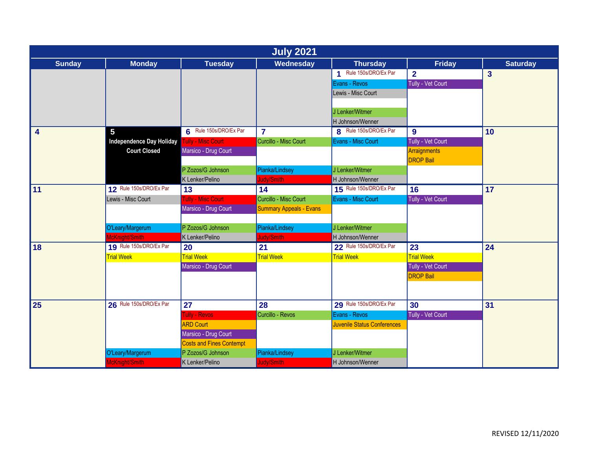| <b>July 2021</b>        |                                 |                                 |                                |                                    |                   |                 |  |  |
|-------------------------|---------------------------------|---------------------------------|--------------------------------|------------------------------------|-------------------|-----------------|--|--|
| <b>Sunday</b>           | <b>Monday</b>                   | <b>Tuesday</b>                  | Wednesday                      | <b>Thursday</b>                    | <b>Friday</b>     | <b>Saturday</b> |  |  |
|                         |                                 |                                 |                                | 1 Rule 150s/DRO/Ex Par             | $\overline{2}$    | $\overline{3}$  |  |  |
|                         |                                 |                                 |                                | Evans - Revos                      | Tully - Vet Court |                 |  |  |
|                         |                                 |                                 |                                | Lewis - Misc Court                 |                   |                 |  |  |
|                         |                                 |                                 |                                |                                    |                   |                 |  |  |
|                         |                                 |                                 |                                | J Lenker/Witmer                    |                   |                 |  |  |
|                         |                                 |                                 |                                | H Johnson/Wenner                   |                   |                 |  |  |
| $\overline{\mathbf{4}}$ | 5                               | 6 Rule 150s/DRO/Ex Par          | $\overline{7}$                 | 8 Rule 150s/DRO/Ex Par             | $\boldsymbol{9}$  | 10              |  |  |
|                         | <b>Independence Day Holiday</b> | <b>Tully - Misc Court</b>       | Curcillo - Misc Court          | Evans - Misc Court                 | Tully - Vet Court |                 |  |  |
|                         | <b>Court Closed</b>             | Marsico - Drug Court            |                                |                                    | Arraignments      |                 |  |  |
|                         |                                 |                                 |                                |                                    | <b>DROP Bail</b>  |                 |  |  |
|                         |                                 | P Zozos/G Johnson               | Pianka/Lindsey                 | J Lenker/Witmer                    |                   |                 |  |  |
|                         |                                 | K Lenker/Pelino                 | ludy/Smith                     | H Johnson/Wenner                   |                   |                 |  |  |
| 11                      | 12 Rule 150s/DRO/Ex Par         | 13                              | $\overline{14}$                | 15 Rule 150s/DRO/Ex Par            | $\overline{16}$   | 17              |  |  |
|                         | Lewis - Misc Court              | <b>Tully - Misc Court</b>       | Curcillo - Misc Court          | Evans - Misc Court                 | Tully - Vet Court |                 |  |  |
|                         |                                 | Marsico - Drug Court            | <b>Summary Appeals - Evans</b> |                                    |                   |                 |  |  |
|                         |                                 |                                 |                                |                                    |                   |                 |  |  |
|                         | O'Leary/Margerum                | P Zozos/G Johnson               | Pianka/Lindsey                 | J Lenker/Witmer                    |                   |                 |  |  |
|                         | McKnight/Smith                  | K Lenker/Pelino                 | ludy/Smith                     | H Johnson/Wenner                   |                   |                 |  |  |
| 18                      | 19 Rule 150s/DRO/Ex Par         | 20                              | 21                             | 22 Rule 150s/DRO/Ex Par            | 23                | 24              |  |  |
|                         | <b>Trial Week</b>               | <b>Trial Week</b>               | <b>Trial Week</b>              | <b>Trial Week</b>                  | <b>Trial Week</b> |                 |  |  |
|                         |                                 | Marsico - Drug Court            |                                |                                    | Tully - Vet Court |                 |  |  |
|                         |                                 |                                 |                                |                                    | <b>DROP Bail</b>  |                 |  |  |
|                         |                                 |                                 |                                |                                    |                   |                 |  |  |
| 25                      | 26 Rule 150s/DRO/Ex Par         | 27                              | 28                             | 29 Rule 150s/DRO/Ex Par            | 30                | 31              |  |  |
|                         |                                 | <b>Tully - Revos</b>            | Curcillo - Revos               | Evans - Revos                      | Tully - Vet Court |                 |  |  |
|                         |                                 | <b>ARD Court</b>                |                                | <b>Juvenile Status Conferences</b> |                   |                 |  |  |
|                         |                                 | Marsico - Drug Court            |                                |                                    |                   |                 |  |  |
|                         |                                 | <b>Costs and Fines Contempt</b> |                                |                                    |                   |                 |  |  |
|                         | O'Leary/Margerum                | P Zozos/G Johnson               | Pianka/Lindsey                 | J Lenker/Witmer                    |                   |                 |  |  |
|                         | McKnight/Smith                  | K Lenker/Pelino                 | <b>Judy/Smith</b>              | H Johnson/Wenner                   |                   |                 |  |  |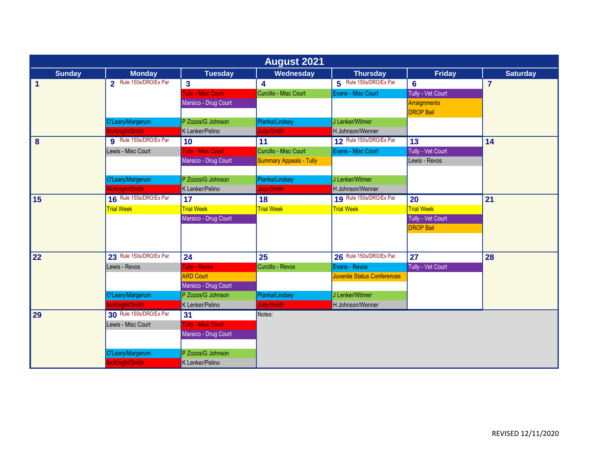|               | <b>August 2021</b>            |                           |                                |                             |                   |                 |  |  |  |
|---------------|-------------------------------|---------------------------|--------------------------------|-----------------------------|-------------------|-----------------|--|--|--|
| <b>Sunday</b> | <b>Monday</b>                 | <b>Tuesday</b>            | Wednesday                      | <b>Thursday</b>             | <b>Friday</b>     | <b>Saturday</b> |  |  |  |
| $\mathbf{1}$  | 2 Rule 150s/DRO/Ex Par        | $\mathbf{3}$              | 4                              | 5 Rule 150s/DRO/Ex Par      | $6\phantom{1}6$   | $\overline{7}$  |  |  |  |
|               |                               | <b>Fully - Misc Court</b> | Curcillo - Misc Court          | Evans - Misc Court          | Tully - Vet Court |                 |  |  |  |
|               |                               | Marsico - Drug Court      |                                |                             | Arraignments      |                 |  |  |  |
|               |                               |                           |                                |                             | <b>DROP Bail</b>  |                 |  |  |  |
|               | O'Leary/Margerum              | P Zozos/G Johnson         | Pianka/Lindsey                 | J Lenker/Witmer             |                   |                 |  |  |  |
|               | McKnight/Smith                | K Lenker/Pelino           | Judy/Smith                     | H Johnson/Wenner            |                   |                 |  |  |  |
| 8             | <b>g</b> Rule 150s/DRO/Ex Par | 10                        | 11                             | 12 Rule 150s/DRO/Ex Par     | 13                | 14              |  |  |  |
|               | Lewis - Misc Court            | <b>Fully - Misc Court</b> | Curcillo - Misc Court          | Evans - Misc Court          | Tully - Vet Court |                 |  |  |  |
|               |                               | Marsico - Drug Court      | <b>Summary Appeals - Tully</b> |                             | Lewis - Revos     |                 |  |  |  |
|               |                               |                           |                                |                             |                   |                 |  |  |  |
|               | O'Leary/Margerum              | P Zozos/G Johnson         | Pianka/Lindsey                 | J Lenker/Witmer             |                   |                 |  |  |  |
|               | McKnight/Smith                | K Lenker/Pelino           | Judy/Smith                     | H Johnson/Wenner            |                   |                 |  |  |  |
| 15            | 16 Rule 150s/DRO/Ex Par       | 17                        | 18                             | 19 Rule 150s/DRO/Ex Par     | 20                | 21              |  |  |  |
|               | <b>Trial Week</b>             | <b>Trial Week</b>         | <b>Trial Week</b>              | <b>Trial Week</b>           | <b>Trial Week</b> |                 |  |  |  |
|               |                               | Marsico - Drug Court      |                                |                             | Tully - Vet Court |                 |  |  |  |
|               |                               |                           |                                |                             | <b>DROP Bail</b>  |                 |  |  |  |
|               |                               |                           |                                |                             |                   |                 |  |  |  |
|               |                               |                           |                                |                             |                   |                 |  |  |  |
| 22            | 23 Rule 150s/DRO/Ex Par       | 24                        | 25                             | 26 Rule 150s/DRO/Ex Par     | 27                | 28              |  |  |  |
|               | Lewis - Revos                 | Tully - Revos             | Curcillo - Revos               | Evans - Revos               | Tully - Vet Court |                 |  |  |  |
|               |                               | <b>ARD Court</b>          |                                | Juvenile Status Conferences |                   |                 |  |  |  |
|               |                               | Marsico - Drug Court      |                                |                             |                   |                 |  |  |  |
|               | O'Leary/Margerum              | P Zozos/G Johnson         | Pianka/Lindsey                 | J Lenker/Witmer             |                   |                 |  |  |  |
|               | McKnight/Smith                | K Lenker/Pelino           | Judy/Smith                     | H Johnson/Wenner            |                   |                 |  |  |  |
| 29            | 30 Rule 150s/DRO/Ex Par       | 31                        | Notes:                         |                             |                   |                 |  |  |  |
|               | Lewis - Misc Court            | <b>Fully - Misc Court</b> |                                |                             |                   |                 |  |  |  |
|               |                               | Marsico - Drug Court      |                                |                             |                   |                 |  |  |  |
|               |                               |                           |                                |                             |                   |                 |  |  |  |
|               | O'Leary/Margerum              | P Zozos/G Johnson         |                                |                             |                   |                 |  |  |  |
|               | McKnight/Smith                | K Lenker/Pelino           |                                |                             |                   |                 |  |  |  |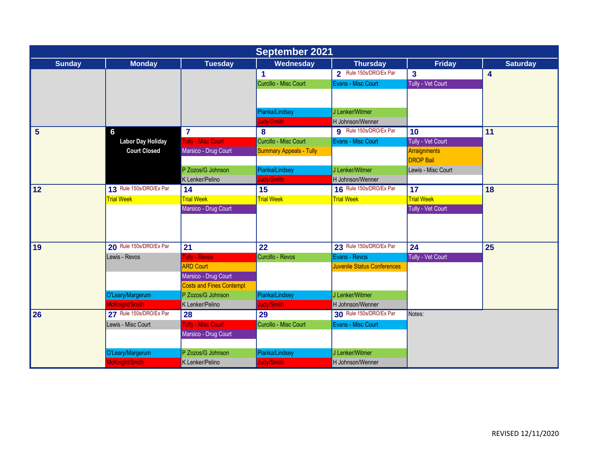| <b>September 2021</b> |                          |                                 |                                |                                    |                    |                         |  |  |
|-----------------------|--------------------------|---------------------------------|--------------------------------|------------------------------------|--------------------|-------------------------|--|--|
| <b>Sunday</b>         | <b>Monday</b>            | <b>Tuesday</b>                  | Wednesday                      | <b>Thursday</b>                    | Friday             | <b>Saturday</b>         |  |  |
|                       |                          |                                 | $\blacktriangleleft$           | 2 Rule 150s/DRO/Ex Par             | $\mathbf{3}$       | $\overline{\mathbf{4}}$ |  |  |
|                       |                          |                                 | Curcillo - Misc Court          | Evans - Misc Court                 | Tully - Vet Court  |                         |  |  |
|                       |                          |                                 |                                |                                    |                    |                         |  |  |
|                       |                          |                                 |                                |                                    |                    |                         |  |  |
|                       |                          |                                 | Pianka/Lindsey                 | J Lenker/Witmer                    |                    |                         |  |  |
|                       |                          |                                 | Judy/Smith                     | H Johnson/Wenner                   |                    |                         |  |  |
| $5\phantom{1}$        | 6                        | $\overline{7}$                  | 8                              | 9 Rule 150s/DRO/Ex Par             | 10                 | 11                      |  |  |
|                       | <b>Labor Day Holiday</b> | <b>Tully - Misc Court</b>       | Curcillo - Misc Court          | Evans - Misc Court                 | Tully - Vet Court  |                         |  |  |
|                       | <b>Court Closed</b>      | Marsico - Drug Court            | <b>Summary Appeals - Tully</b> |                                    | Arraignments       |                         |  |  |
|                       |                          |                                 |                                |                                    | <b>DROP Bail</b>   |                         |  |  |
|                       |                          | P Zozos/G Johnson               | Pianka/Lindsey                 | J Lenker/Witmer                    | Lewis - Misc Court |                         |  |  |
|                       |                          | K Lenker/Pelino                 | Judy/Smith                     | H Johnson/Wenner                   |                    |                         |  |  |
| 12                    | 13 Rule 150s/DRO/Ex Par  | $\overline{14}$                 | 15                             | 16 Rule 150s/DRO/Ex Par            | $\overline{17}$    | 18                      |  |  |
|                       | <b>Trial Week</b>        | <b>Trial Week</b>               | <b>Trial Week</b>              | <b>Trial Week</b>                  | <b>Trial Week</b>  |                         |  |  |
|                       |                          | Marsico - Drug Court            |                                |                                    | Tully - Vet Court  |                         |  |  |
|                       |                          |                                 |                                |                                    |                    |                         |  |  |
|                       |                          |                                 |                                |                                    |                    |                         |  |  |
| 19                    | 20 Rule 150s/DRO/Ex Par  | 21                              | 22                             | 23 Rule 150s/DRO/Ex Par            | 24                 | 25                      |  |  |
|                       | Lewis - Revos            | <b>Tully - Revos</b>            | Curcillo - Revos               | Evans - Revos                      | Tully - Vet Court  |                         |  |  |
|                       |                          | <b>ARD Court</b>                |                                | <b>Juvenile Status Conferences</b> |                    |                         |  |  |
|                       |                          | Marsico - Drug Court            |                                |                                    |                    |                         |  |  |
|                       |                          | <b>Costs and Fines Contempt</b> |                                |                                    |                    |                         |  |  |
|                       | O'Leary/Margerum         | P Zozos/G Johnson               | Pianka/Lindsey                 | J Lenker/Witmer                    |                    |                         |  |  |
|                       | McKnight/Smith           | K Lenker/Pelino                 | Judy/Smith                     | H Johnson/Wenner                   |                    |                         |  |  |
| 26                    | 27 Rule 150s/DRO/Ex Par  | 28                              | 29                             | 30 Rule 150s/DRO/Ex Par            | Notes:             |                         |  |  |
|                       | Lewis - Misc Court       | <b>Tully - Misc Court</b>       | Curcillo - Misc Court          | Evans - Misc Court                 |                    |                         |  |  |
|                       |                          | Marsico - Drug Court            |                                |                                    |                    |                         |  |  |
|                       |                          |                                 |                                |                                    |                    |                         |  |  |
|                       | O'Leary/Margerum         | P Zozos/G Johnson               | Pianka/Lindsey                 | J Lenker/Witmer                    |                    |                         |  |  |
|                       | McKnight/Smith           | K Lenker/Pelino                 | Judy/Smith                     | H Johnson/Wenner                   |                    |                         |  |  |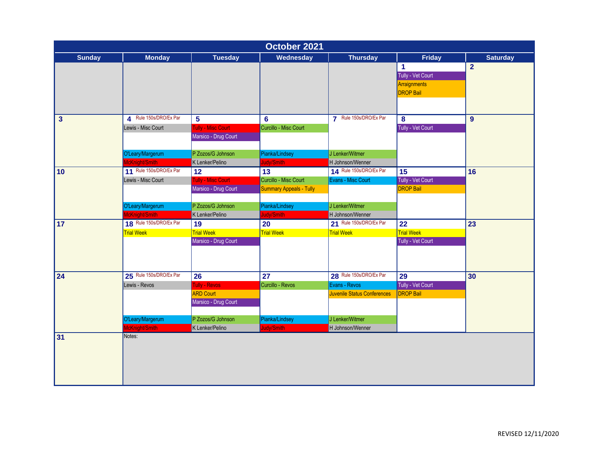| October 2021  |                         |                      |                                |                             |                      |                 |  |  |
|---------------|-------------------------|----------------------|--------------------------------|-----------------------------|----------------------|-----------------|--|--|
| <b>Sunday</b> | <b>Monday</b>           | <b>Tuesday</b>       | Wednesday                      | <b>Thursday</b>             | <b>Friday</b>        | <b>Saturday</b> |  |  |
|               |                         |                      |                                |                             | $\blacktriangleleft$ | $\overline{2}$  |  |  |
|               |                         |                      |                                |                             | Tully - Vet Court    |                 |  |  |
|               |                         |                      |                                |                             | Arraignments         |                 |  |  |
|               |                         |                      |                                |                             | <b>DROP Bail</b>     |                 |  |  |
|               |                         |                      |                                |                             |                      |                 |  |  |
|               | 4 Rule 150s/DRO/Ex Par  |                      |                                | 7 Rule 150s/DRO/Ex Par      |                      |                 |  |  |
| $\mathbf{3}$  |                         | 5                    | 6                              |                             | 8                    | 9               |  |  |
|               | Lewis - Misc Court      | Tully - Misc Court   | Curcillo - Misc Court          |                             | Tully - Vet Court    |                 |  |  |
|               |                         | Marsico - Drug Court |                                |                             |                      |                 |  |  |
|               | O'Leary/Margerum        | P Zozos/G Johnson    | Pianka/Lindsey                 | J Lenker/Witmer             |                      |                 |  |  |
|               | McKnight/Smith          | K Lenker/Pelino      | Judy/Smith                     | H Johnson/Wenner            |                      |                 |  |  |
| 10            | 11 Rule 150s/DRO/Ex Par | 12                   | 13                             | 14 Rule 150s/DRO/Ex Par     | 15                   | 16              |  |  |
|               | Lewis - Misc Court      | Tully - Misc Court   | Curcillo - Misc Court          | Evans - Misc Court          | Tully - Vet Court    |                 |  |  |
|               |                         | Marsico - Drug Court | <b>Summary Appeals - Tully</b> |                             | <b>DROP Bail</b>     |                 |  |  |
|               |                         |                      |                                |                             |                      |                 |  |  |
|               | O'Leary/Margerum        | P Zozos/G Johnson    | Pianka/Lindsey                 | J Lenker/Witmer             |                      |                 |  |  |
|               | McKnight/Smith          | K Lenker/Pelino      | Judy/Smith                     | H Johnson/Wenner            |                      |                 |  |  |
| 17            | 18 Rule 150s/DRO/Ex Par | 19                   | $\overline{20}$                | 21 Rule 150s/DRO/Ex Par     | $\overline{22}$      | $\overline{23}$ |  |  |
|               | <b>Trial Week</b>       | <b>Trial Week</b>    | <b>Trial Week</b>              | <b>Trial Week</b>           | <b>Trial Week</b>    |                 |  |  |
|               |                         | Marsico - Drug Court |                                |                             | Tully - Vet Court    |                 |  |  |
|               |                         |                      |                                |                             |                      |                 |  |  |
|               |                         |                      |                                |                             |                      |                 |  |  |
| 24            | 25 Rule 150s/DRO/Ex Par | 26                   | 27                             | 28 Rule 150s/DRO/Ex Par     | 29                   | 30              |  |  |
|               | Lewis - Revos           | Tully - Revos        | Curcillo - Revos               | Evans - Revos               | Tully - Vet Court    |                 |  |  |
|               |                         | <b>ARD Court</b>     |                                | Juvenile Status Conferences | <b>DROP Bail</b>     |                 |  |  |
|               |                         | Marsico - Drug Court |                                |                             |                      |                 |  |  |
|               |                         |                      |                                |                             |                      |                 |  |  |
|               | O'Leary/Margerum        | P Zozos/G Johnson    | Pianka/Lindsey                 | J Lenker/Witmer             |                      |                 |  |  |
|               | McKnight/Smith          | K Lenker/Pelino      | Judy/Smith                     | H Johnson/Wenner            |                      |                 |  |  |
| 31            | Notes:                  |                      |                                |                             |                      |                 |  |  |
|               |                         |                      |                                |                             |                      |                 |  |  |
|               |                         |                      |                                |                             |                      |                 |  |  |
|               |                         |                      |                                |                             |                      |                 |  |  |
|               |                         |                      |                                |                             |                      |                 |  |  |
|               |                         |                      |                                |                             |                      |                 |  |  |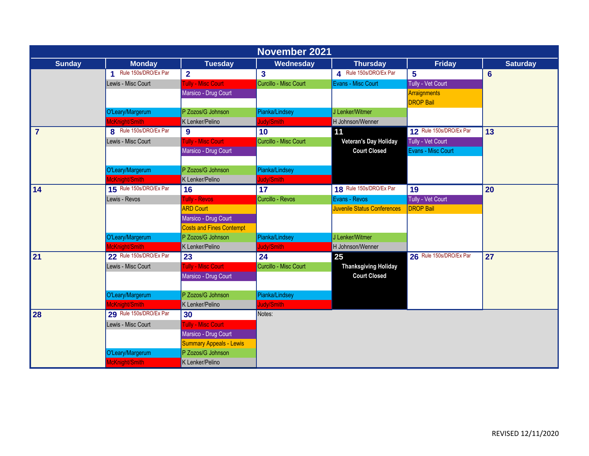| <b>November 2021</b> |                           |                                 |                         |                             |                                         |                 |  |  |
|----------------------|---------------------------|---------------------------------|-------------------------|-----------------------------|-----------------------------------------|-----------------|--|--|
| <b>Sunday</b>        | <b>Monday</b>             | <b>Tuesday</b>                  | Wednesday               | <b>Thursday</b>             | <b>Friday</b>                           | <b>Saturday</b> |  |  |
|                      | Rule 150s/DRO/Ex Par<br>4 | $\overline{2}$                  | $\overline{\mathbf{3}}$ | 4 Rule 150s/DRO/Ex Par      | 5                                       | 6               |  |  |
|                      | Lewis - Misc Court        | <b>Tully - Misc Court</b>       | Curcillo - Misc Court   | Evans - Misc Court          | Tully - Vet Court                       |                 |  |  |
|                      |                           | Marsico - Drug Court            |                         |                             | <b>Arraignments</b><br><b>DROP Bail</b> |                 |  |  |
|                      | O'Leary/Margerum          | P Zozos/G Johnson               | Pianka/Lindsey          | J Lenker/Witmer             |                                         |                 |  |  |
|                      | McKnight/Smith            | K Lenker/Pelino                 | Judy/Smith              | H Johnson/Wenner            |                                         |                 |  |  |
| $\overline{7}$       | 8 Rule 150s/DRO/Ex Par    | 9                               | 10                      | 11                          | 12 Rule 150s/DRO/Ex Par                 | 13              |  |  |
|                      | Lewis - Misc Court        | <b>Tully - Misc Court</b>       | Curcillo - Misc Court   | Veteran's Day Holiday       | Tully - Vet Court                       |                 |  |  |
|                      |                           | Marsico - Drug Court            |                         | <b>Court Closed</b>         | Evans - Misc Court                      |                 |  |  |
|                      |                           |                                 |                         |                             |                                         |                 |  |  |
|                      | O'Leary/Margerum          | P Zozos/G Johnson               | Pianka/Lindsey          |                             |                                         |                 |  |  |
|                      | McKnight/Smith            | K Lenker/Pelino                 | Judy/Smith              |                             |                                         |                 |  |  |
| 14                   | 15 Rule 150s/DRO/Ex Par   | 16                              | 17                      | 18 Rule 150s/DRO/Ex Par     | 19                                      | 20              |  |  |
|                      | Lewis - Revos             | Tully - Revos                   | Curcillo - Revos        | Evans - Revos               | Tully - Vet Court                       |                 |  |  |
|                      |                           | <b>ARD Court</b>                |                         | Juvenile Status Conferences | <b>DROP Bail</b>                        |                 |  |  |
|                      |                           | Marsico - Drug Court            |                         |                             |                                         |                 |  |  |
|                      |                           | <b>Costs and Fines Contempt</b> |                         |                             |                                         |                 |  |  |
|                      | O'Leary/Margerum          | P Zozos/G Johnson               | Pianka/Lindsey          | J Lenker/Witmer             |                                         |                 |  |  |
|                      | McKnight/Smith            | K Lenker/Pelino                 | Judy/Smith              | H Johnson/Wenner            |                                         |                 |  |  |
| 21                   | 22 Rule 150s/DRO/Ex Par   | 23                              | 24                      | 25                          | 26 Rule 150s/DRO/Ex Par                 | 27              |  |  |
|                      | Lewis - Misc Court        | <b>Tully - Misc Court</b>       | Curcillo - Misc Court   | <b>Thanksgiving Holiday</b> |                                         |                 |  |  |
|                      |                           | Marsico - Drug Court            |                         | <b>Court Closed</b>         |                                         |                 |  |  |
|                      |                           |                                 |                         |                             |                                         |                 |  |  |
|                      | O'Leary/Margerum          | P Zozos/G Johnson               | Pianka/Lindsey          |                             |                                         |                 |  |  |
|                      | McKnight/Smith            | K Lenker/Pelino                 | Judy/Smith              |                             |                                         |                 |  |  |
| <b>28</b>            | 29 Rule 150s/DRO/Ex Par   | 30                              | Notes:                  |                             |                                         |                 |  |  |
|                      | Lewis - Misc Court        | <b>Tully - Misc Court</b>       |                         |                             |                                         |                 |  |  |
|                      |                           | Marsico - Drug Court            |                         |                             |                                         |                 |  |  |
|                      |                           | <b>Summary Appeals - Lewis</b>  |                         |                             |                                         |                 |  |  |
|                      | O'Leary/Margerum          | P Zozos/G Johnson               |                         |                             |                                         |                 |  |  |
|                      | McKnight/Smith            | K Lenker/Pelino                 |                         |                             |                                         |                 |  |  |